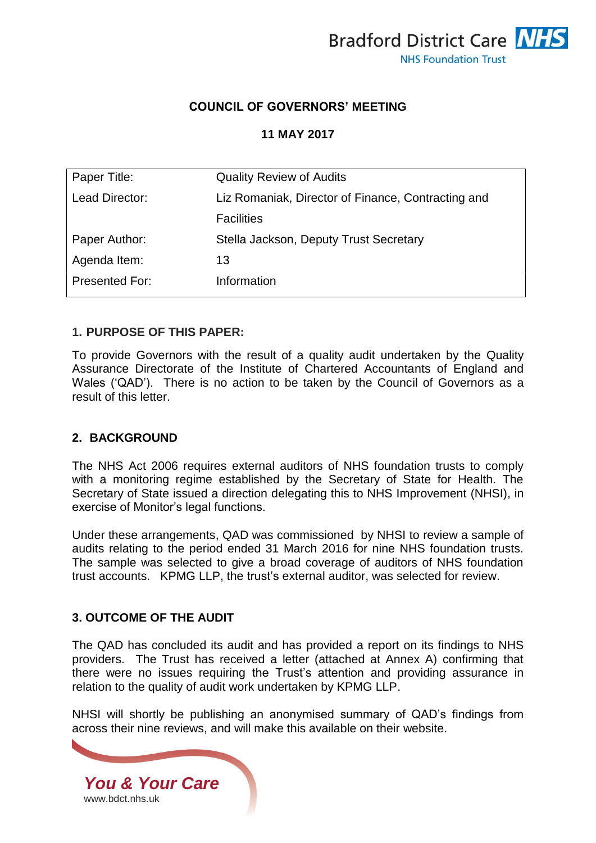

## **COUNCIL OF GOVERNORS' MEETING**

#### **11 MAY 2017**

| Paper Title:          | <b>Quality Review of Audits</b>                    |
|-----------------------|----------------------------------------------------|
| Lead Director:        | Liz Romaniak, Director of Finance, Contracting and |
|                       | <b>Facilities</b>                                  |
| Paper Author:         | Stella Jackson, Deputy Trust Secretary             |
| Agenda Item:          | 13                                                 |
| <b>Presented For:</b> | Information                                        |

#### **1. PURPOSE OF THIS PAPER:**

To provide Governors with the result of a quality audit undertaken by the Quality Assurance Directorate of the Institute of Chartered Accountants of England and Wales ('QAD'). There is no action to be taken by the Council of Governors as a result of this letter.

## **2. BACKGROUND**

The NHS Act 2006 requires external auditors of NHS foundation trusts to comply with a monitoring regime established by the Secretary of State for Health. The Secretary of State issued a direction delegating this to NHS Improvement (NHSI), in exercise of Monitor's legal functions.

Under these arrangements, QAD was commissioned by NHSI to review a sample of audits relating to the period ended 31 March 2016 for nine NHS foundation trusts. The sample was selected to give a broad coverage of auditors of NHS foundation trust accounts. KPMG LLP, the trust's external auditor, was selected for review.

## **3. OUTCOME OF THE AUDIT**

The QAD has concluded its audit and has provided a report on its findings to NHS providers. The Trust has received a letter (attached at Annex A) confirming that there were no issues requiring the Trust's attention and providing assurance in relation to the quality of audit work undertaken by KPMG LLP.

NHSI will shortly be publishing an anonymised summary of QAD's findings from across their nine reviews, and will make this available on their website.